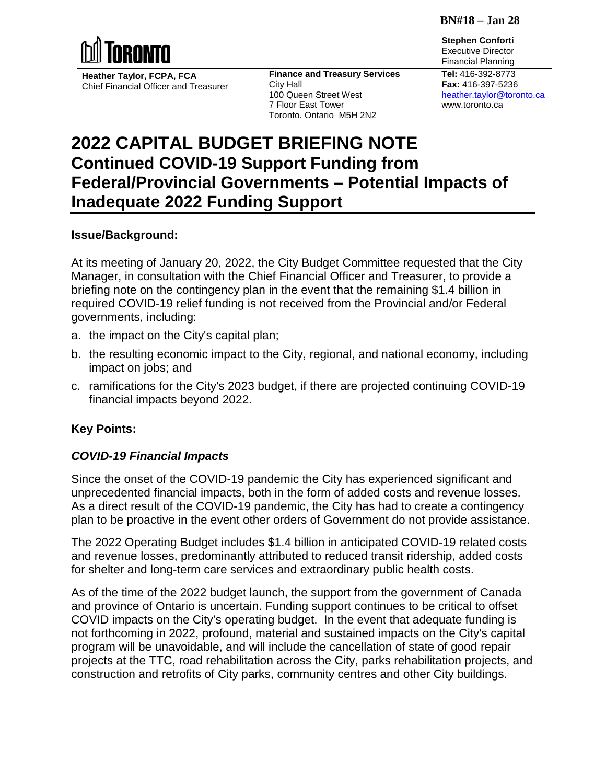**BN#18 – Jan 28**

**Stephen Conforti**



**Heather Taylor, FCPA, FCA** Chief Financial Officer and Treasurer **Finance and Treasury Services** City Hall 100 Queen Street West 7 Floor East Tower Toronto, Ontario M5H 2N2

Executive Director Financial Planning **Tel:** 416-392-8773 **Fax:** 416-397-5236 [heather.taylor@toronto.ca](mailto:heather.taylor@toronto.ca) www.toronto.ca

# **2022 CAPITAL BUDGET BRIEFING NOTE Continued COVID-19 Support Funding from Federal/Provincial Governments – Potential Impacts of Inadequate 2022 Funding Support**

## **Issue/Background:**

At its meeting of January 20, 2022, the City Budget Committee requested that the City Manager, in consultation with the Chief Financial Officer and Treasurer, to provide a briefing note on the contingency plan in the event that the remaining \$1.4 billion in required COVID-19 relief funding is not received from the Provincial and/or Federal governments, including:

- a. the impact on the City's capital plan;
- b. the resulting economic impact to the City, regional, and national economy, including impact on jobs; and
- c. ramifications for the City's 2023 budget, if there are projected continuing COVID-19 financial impacts beyond 2022.

# **Key Points:**

## *COVID-19 Financial Impacts*

Since the onset of the COVID-19 pandemic the City has experienced significant and unprecedented financial impacts, both in the form of added costs and revenue losses. As a direct result of the COVID-19 pandemic, the City has had to create a contingency plan to be proactive in the event other orders of Government do not provide assistance.

The 2022 Operating Budget includes \$1.4 billion in anticipated COVID-19 related costs and revenue losses, predominantly attributed to reduced transit ridership, added costs for shelter and long-term care services and extraordinary public health costs.

As of the time of the 2022 budget launch, the support from the government of Canada and province of Ontario is uncertain. Funding support continues to be critical to offset COVID impacts on the City's operating budget. In the event that adequate funding is not forthcoming in 2022, profound, material and sustained impacts on the City's capital program will be unavoidable, and will include the cancellation of state of good repair projects at the TTC, road rehabilitation across the City, parks rehabilitation projects, and construction and retrofits of City parks, community centres and other City buildings.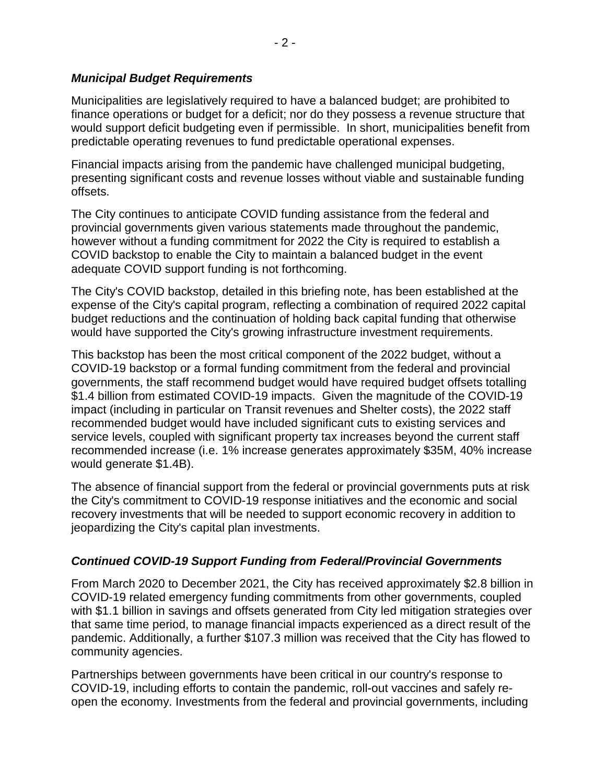## *Municipal Budget Requirements*

Municipalities are legislatively required to have a balanced budget; are prohibited to finance operations or budget for a deficit; nor do they possess a revenue structure that would support deficit budgeting even if permissible. In short, municipalities benefit from predictable operating revenues to fund predictable operational expenses.

Financial impacts arising from the pandemic have challenged municipal budgeting, presenting significant costs and revenue losses without viable and sustainable funding offsets.

The City continues to anticipate COVID funding assistance from the federal and provincial governments given various statements made throughout the pandemic, however without a funding commitment for 2022 the City is required to establish a COVID backstop to enable the City to maintain a balanced budget in the event adequate COVID support funding is not forthcoming.

The City's COVID backstop, detailed in this briefing note, has been established at the expense of the City's capital program, reflecting a combination of required 2022 capital budget reductions and the continuation of holding back capital funding that otherwise would have supported the City's growing infrastructure investment requirements.

This backstop has been the most critical component of the 2022 budget, without a COVID-19 backstop or a formal funding commitment from the federal and provincial governments, the staff recommend budget would have required budget offsets totalling \$1.4 billion from estimated COVID-19 impacts. Given the magnitude of the COVID-19 impact (including in particular on Transit revenues and Shelter costs), the 2022 staff recommended budget would have included significant cuts to existing services and service levels, coupled with significant property tax increases beyond the current staff recommended increase (i.e. 1% increase generates approximately \$35M, 40% increase would generate \$1.4B).

The absence of financial support from the federal or provincial governments puts at risk the City's commitment to COVID-19 response initiatives and the economic and social recovery investments that will be needed to support economic recovery in addition to jeopardizing the City's capital plan investments.

# *Continued COVID-19 Support Funding from Federal/Provincial Governments*

From March 2020 to December 2021, the City has received approximately \$2.8 billion in COVID-19 related emergency funding commitments from other governments, coupled with \$1.1 billion in savings and offsets generated from City led mitigation strategies over that same time period, to manage financial impacts experienced as a direct result of the pandemic. Additionally, a further \$107.3 million was received that the City has flowed to community agencies.

Partnerships between governments have been critical in our country's response to COVID-19, including efforts to contain the pandemic, roll-out vaccines and safely reopen the economy. Investments from the federal and provincial governments, including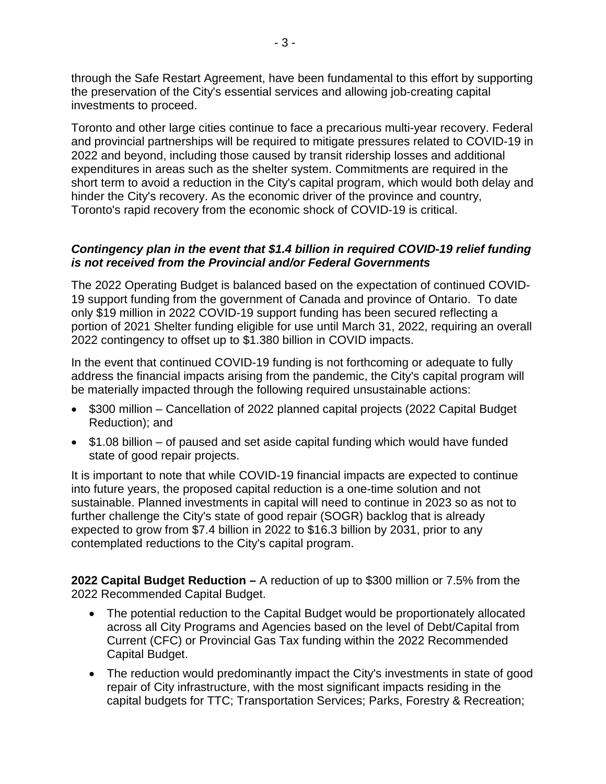through the Safe Restart Agreement, have been fundamental to this effort by supporting the preservation of the City's essential services and allowing job-creating capital investments to proceed.

Toronto and other large cities continue to face a precarious multi-year recovery. Federal and provincial partnerships will be required to mitigate pressures related to COVID-19 in 2022 and beyond, including those caused by transit ridership losses and additional expenditures in areas such as the shelter system. Commitments are required in the short term to avoid a reduction in the City's capital program, which would both delay and hinder the City's recovery. As the economic driver of the province and country, Toronto's rapid recovery from the economic shock of COVID-19 is critical.

## *Contingency plan in the event that \$1.4 billion in required COVID-19 relief funding is not received from the Provincial and/or Federal Governments*

The 2022 Operating Budget is balanced based on the expectation of continued COVID-19 support funding from the government of Canada and province of Ontario. To date only \$19 million in 2022 COVID-19 support funding has been secured reflecting a portion of 2021 Shelter funding eligible for use until March 31, 2022, requiring an overall 2022 contingency to offset up to \$1.380 billion in COVID impacts.

In the event that continued COVID-19 funding is not forthcoming or adequate to fully address the financial impacts arising from the pandemic, the City's capital program will be materially impacted through the following required unsustainable actions:

- \$300 million Cancellation of 2022 planned capital projects (2022 Capital Budget Reduction); and
- \$1.08 billion of paused and set aside capital funding which would have funded state of good repair projects.

It is important to note that while COVID-19 financial impacts are expected to continue into future years, the proposed capital reduction is a one-time solution and not sustainable. Planned investments in capital will need to continue in 2023 so as not to further challenge the City's state of good repair (SOGR) backlog that is already expected to grow from \$7.4 billion in 2022 to \$16.3 billion by 2031, prior to any contemplated reductions to the City's capital program.

**2022 Capital Budget Reduction –** A reduction of up to \$300 million or 7.5% from the 2022 Recommended Capital Budget.

- The potential reduction to the Capital Budget would be proportionately allocated across all City Programs and Agencies based on the level of Debt/Capital from Current (CFC) or Provincial Gas Tax funding within the 2022 Recommended Capital Budget.
- The reduction would predominantly impact the City's investments in state of good repair of City infrastructure, with the most significant impacts residing in the capital budgets for TTC; Transportation Services; Parks, Forestry & Recreation;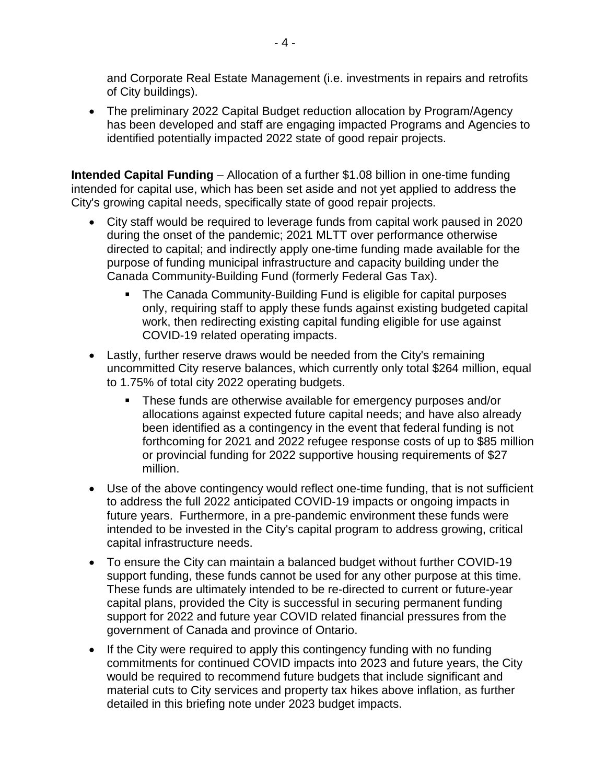and Corporate Real Estate Management (i.e. investments in repairs and retrofits of City buildings).

• The preliminary 2022 Capital Budget reduction allocation by Program/Agency has been developed and staff are engaging impacted Programs and Agencies to identified potentially impacted 2022 state of good repair projects.

**Intended Capital Funding** – Allocation of a further \$1.08 billion in one-time funding intended for capital use, which has been set aside and not yet applied to address the City's growing capital needs, specifically state of good repair projects.

- City staff would be required to leverage funds from capital work paused in 2020 during the onset of the pandemic; 2021 MLTT over performance otherwise directed to capital; and indirectly apply one-time funding made available for the purpose of funding municipal infrastructure and capacity building under the Canada Community-Building Fund (formerly Federal Gas Tax).
	- **The Canada Community-Building Fund is eligible for capital purposes** only, requiring staff to apply these funds against existing budgeted capital work, then redirecting existing capital funding eligible for use against COVID-19 related operating impacts.
- Lastly, further reserve draws would be needed from the City's remaining uncommitted City reserve balances, which currently only total \$264 million, equal to 1.75% of total city 2022 operating budgets.
	- **These funds are otherwise available for emergency purposes and/or** allocations against expected future capital needs; and have also already been identified as a contingency in the event that federal funding is not forthcoming for 2021 and 2022 refugee response costs of up to \$85 million or provincial funding for 2022 supportive housing requirements of \$27 million.
- Use of the above contingency would reflect one-time funding, that is not sufficient to address the full 2022 anticipated COVID-19 impacts or ongoing impacts in future years. Furthermore, in a pre-pandemic environment these funds were intended to be invested in the City's capital program to address growing, critical capital infrastructure needs.
- To ensure the City can maintain a balanced budget without further COVID-19 support funding, these funds cannot be used for any other purpose at this time. These funds are ultimately intended to be re-directed to current or future-year capital plans, provided the City is successful in securing permanent funding support for 2022 and future year COVID related financial pressures from the government of Canada and province of Ontario.
- If the City were required to apply this contingency funding with no funding commitments for continued COVID impacts into 2023 and future years, the City would be required to recommend future budgets that include significant and material cuts to City services and property tax hikes above inflation, as further detailed in this briefing note under 2023 budget impacts.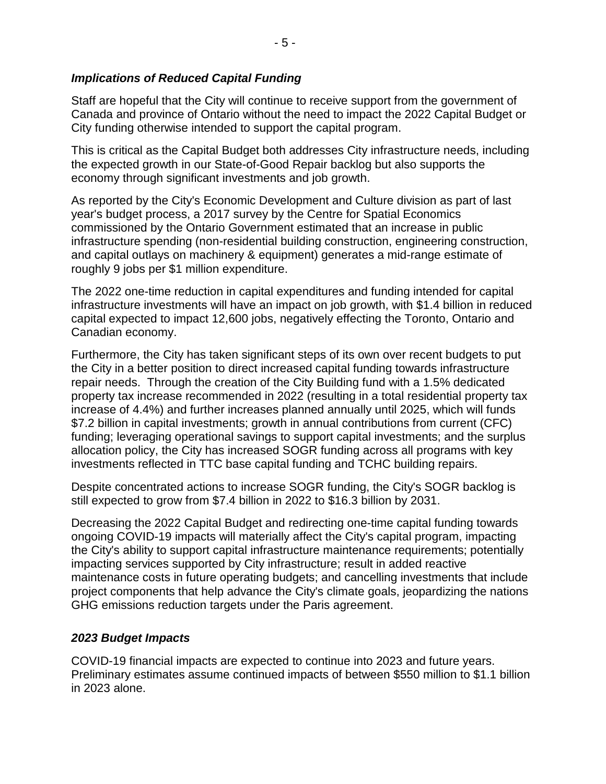## *Implications of Reduced Capital Funding*

Staff are hopeful that the City will continue to receive support from the government of Canada and province of Ontario without the need to impact the 2022 Capital Budget or City funding otherwise intended to support the capital program.

This is critical as the Capital Budget both addresses City infrastructure needs, including the expected growth in our State-of-Good Repair backlog but also supports the economy through significant investments and job growth.

As reported by the City's Economic Development and Culture division as part of last year's budget process, a 2017 survey by the Centre for Spatial Economics commissioned by the Ontario Government estimated that an increase in public infrastructure spending (non-residential building construction, engineering construction, and capital outlays on machinery & equipment) generates a mid-range estimate of roughly 9 jobs per \$1 million expenditure.

The 2022 one-time reduction in capital expenditures and funding intended for capital infrastructure investments will have an impact on job growth, with \$1.4 billion in reduced capital expected to impact 12,600 jobs, negatively effecting the Toronto, Ontario and Canadian economy.

Furthermore, the City has taken significant steps of its own over recent budgets to put the City in a better position to direct increased capital funding towards infrastructure repair needs. Through the creation of the City Building fund with a 1.5% dedicated property tax increase recommended in 2022 (resulting in a total residential property tax increase of 4.4%) and further increases planned annually until 2025, which will funds \$7.2 billion in capital investments; growth in annual contributions from current (CFC) funding; leveraging operational savings to support capital investments; and the surplus allocation policy, the City has increased SOGR funding across all programs with key investments reflected in TTC base capital funding and TCHC building repairs.

Despite concentrated actions to increase SOGR funding, the City's SOGR backlog is still expected to grow from \$7.4 billion in 2022 to \$16.3 billion by 2031.

Decreasing the 2022 Capital Budget and redirecting one-time capital funding towards ongoing COVID-19 impacts will materially affect the City's capital program, impacting the City's ability to support capital infrastructure maintenance requirements; potentially impacting services supported by City infrastructure; result in added reactive maintenance costs in future operating budgets; and cancelling investments that include project components that help advance the City's climate goals, jeopardizing the nations GHG emissions reduction targets under the Paris agreement.

## *2023 Budget Impacts*

COVID-19 financial impacts are expected to continue into 2023 and future years. Preliminary estimates assume continued impacts of between \$550 million to \$1.1 billion in 2023 alone.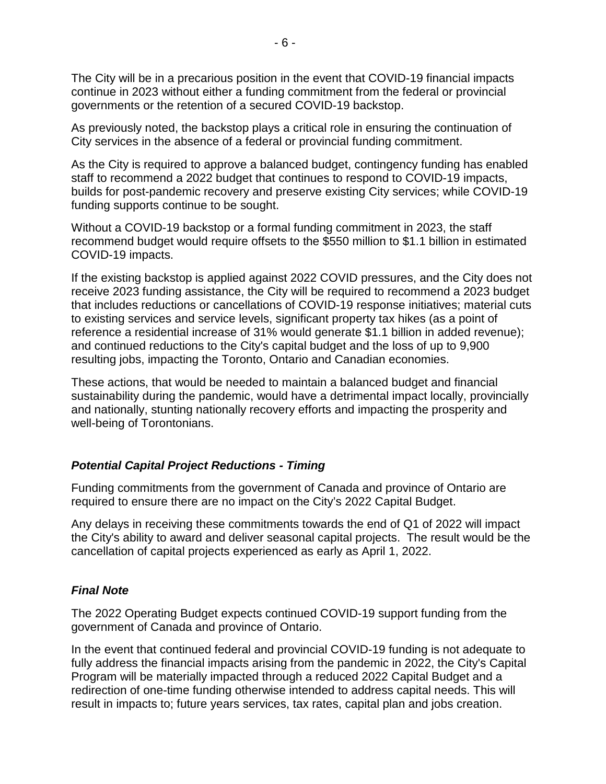The City will be in a precarious position in the event that COVID-19 financial impacts continue in 2023 without either a funding commitment from the federal or provincial governments or the retention of a secured COVID-19 backstop.

As previously noted, the backstop plays a critical role in ensuring the continuation of City services in the absence of a federal or provincial funding commitment.

As the City is required to approve a balanced budget, contingency funding has enabled staff to recommend a 2022 budget that continues to respond to COVID-19 impacts, builds for post-pandemic recovery and preserve existing City services; while COVID-19 funding supports continue to be sought.

Without a COVID-19 backstop or a formal funding commitment in 2023, the staff recommend budget would require offsets to the \$550 million to \$1.1 billion in estimated COVID-19 impacts.

If the existing backstop is applied against 2022 COVID pressures, and the City does not receive 2023 funding assistance, the City will be required to recommend a 2023 budget that includes reductions or cancellations of COVID-19 response initiatives; material cuts to existing services and service levels, significant property tax hikes (as a point of reference a residential increase of 31% would generate \$1.1 billion in added revenue); and continued reductions to the City's capital budget and the loss of up to 9,900 resulting jobs, impacting the Toronto, Ontario and Canadian economies.

These actions, that would be needed to maintain a balanced budget and financial sustainability during the pandemic, would have a detrimental impact locally, provincially and nationally, stunting nationally recovery efforts and impacting the prosperity and well-being of Torontonians.

## *Potential Capital Project Reductions - Timing*

Funding commitments from the government of Canada and province of Ontario are required to ensure there are no impact on the City's 2022 Capital Budget.

Any delays in receiving these commitments towards the end of Q1 of 2022 will impact the City's ability to award and deliver seasonal capital projects. The result would be the cancellation of capital projects experienced as early as April 1, 2022.

## *Final Note*

The 2022 Operating Budget expects continued COVID-19 support funding from the government of Canada and province of Ontario.

In the event that continued federal and provincial COVID-19 funding is not adequate to fully address the financial impacts arising from the pandemic in 2022, the City's Capital Program will be materially impacted through a reduced 2022 Capital Budget and a redirection of one-time funding otherwise intended to address capital needs. This will result in impacts to; future years services, tax rates, capital plan and jobs creation.